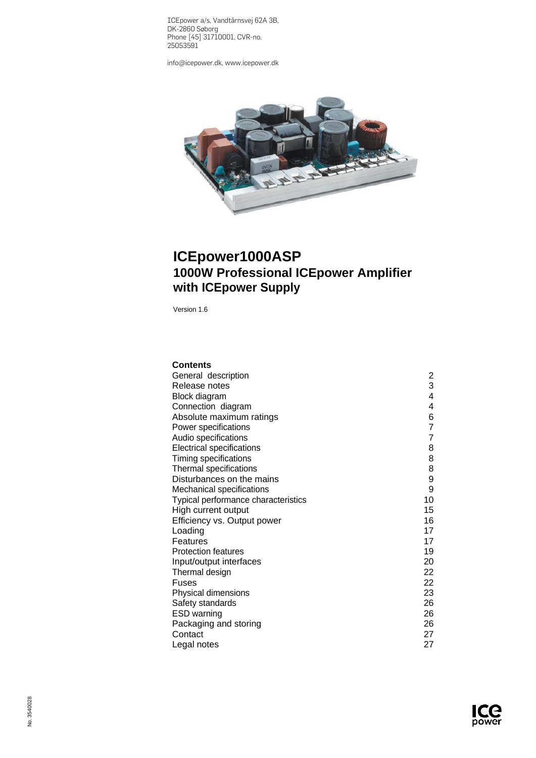ICEpower a/s, Vandtårnsvej 62A 3B, DK-2860 Søborg Phone [45] 31710001, CVR-no. 25053591

[info@icepower.dk,](mailto:info@icepower.dk) [www.icepower.dk](http://www.icepower.dk/)



# **ICEpower1000ASP 1000W Professional ICEpower Amplifier with ICEpower Supply**

Version 1.6

| <b>Contents</b>                     |                |
|-------------------------------------|----------------|
| General description                 | 2              |
| Release notes                       | 3              |
| Block diagram                       | 4              |
| Connection diagram                  | 4              |
| Absolute maximum ratings            | 6              |
| Power specifications                | $\overline{7}$ |
| Audio specifications                | $\overline{7}$ |
| <b>Electrical specifications</b>    | 8              |
| Timing specifications               | 8              |
| Thermal specifications              | 8              |
| Disturbances on the mains           | 9              |
| Mechanical specifications           | 9              |
| Typical performance characteristics | 10             |
| High current output                 | 15             |
| Efficiency vs. Output power         | 16             |
| Loading                             | 17             |
| Features                            | 17             |
| <b>Protection features</b>          | 19             |
| Input/output interfaces             | 20             |
| Thermal design                      | 22             |
| Fuses                               | 22             |
| Physical dimensions                 | 23             |
| Safety standards                    | 26             |
| <b>ESD</b> warning                  | 26             |
| Packaging and storing               | 26             |
| Contact                             | 27             |
| Legal notes                         | 27             |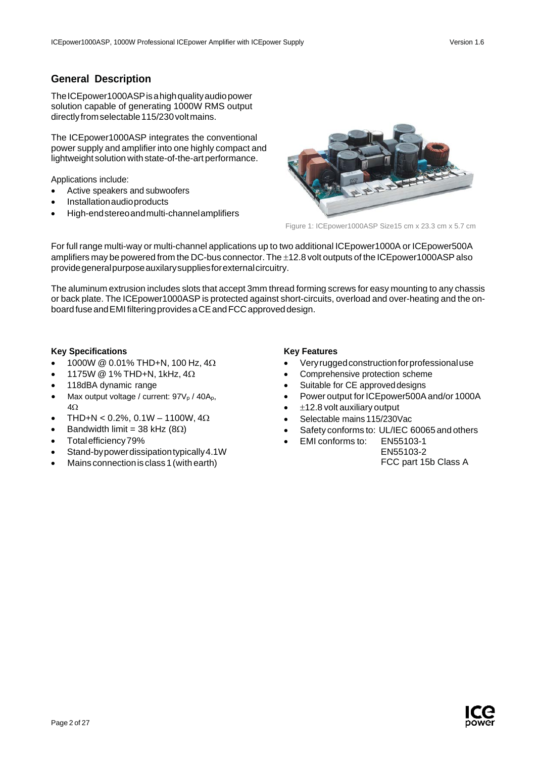# <span id="page-1-0"></span>**General Description**

The ICE power 1000 ASP is a high quality audiopower solution capable of generating 1000W RMS output directly from selectable 115/230 volt mains.

The ICEpower1000ASP integrates the conventional power supply and amplifier into one highly compact and lightweight solution with state-of-the-art performance.

Applications include:

- Active speakers and subwoofers
- Installationaudioproducts
- High-endstereoandmulti-channelamplifiers



Figure 1: ICEpower1000ASP Size15 cm x 23.3 cm x 5.7 cm

For full range multi-way or multi-channel applications up to two additional ICEpower1000A or ICEpower500A amplifiers may be powered from the DC-bus connector. The ±12.8 volt outputs of the ICEpower1000ASPalso providegeneralpurposeauxilarysuppliesforexternalcircuitry.

The aluminum extrusion includes slots that accept 3mm thread forming screws for easy mounting to any chassis or back plate. The ICEpower1000ASP is protected against short-circuits, overload and over-heating and the onboard fuse and EMI filtering provides a CE and FCC approved design.

#### **Key Specifications**

- 1000W @ 0.01% THD+N, 100 Hz, 4Ω
- 1175W @ 1% THD+N, 1kHz, 4Ω
- 118dBA dynamic range
- Max output voltage / current: 97V<sub>p</sub> / 40A<sub>p</sub>, 4Ω
- THD+N <  $0.2\%$ ,  $0.1W 1100W$ ,  $4\Omega$
- Bandwidth limit = 38 kHz ( $8Ω$ )
- Totalefficiency79%
- Stand-bypowerdissipationtypically4.1W
- Mains connection is class 1 (with earth)

#### **Key Features**

- Veryruggedconstructionforprofessionaluse
- Comprehensive protection scheme
- Suitable for CE approved designs
- Power output for ICE power 500A and/or 1000A
- $±12.8$  volt auxiliary output
- Selectable mains 115/230Vac
- Safety conforms to: UL/IEC 60065 and others
	- EMI conforms to: EN55103-1 EN55103-2

FCC part 15b Class A

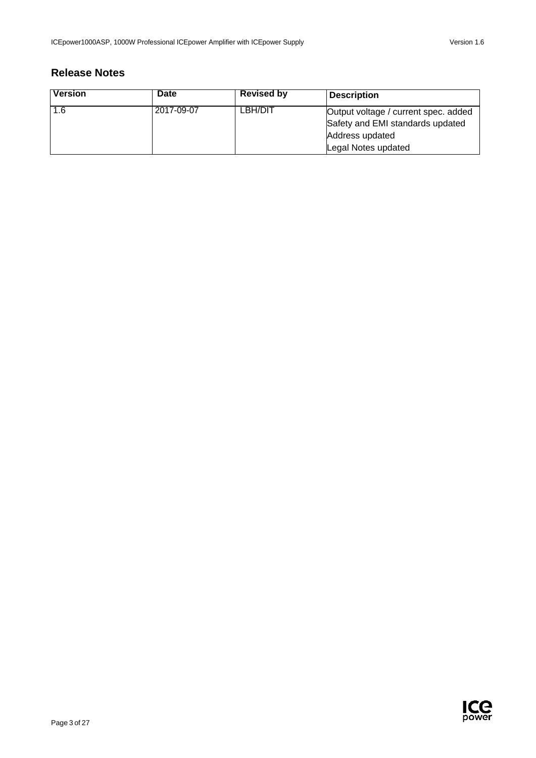# <span id="page-2-0"></span>**Release Notes**

| <b>Version</b> | <b>Date</b> | <b>Revised by</b> | <b>Description</b>                                                       |
|----------------|-------------|-------------------|--------------------------------------------------------------------------|
| 1.6            | 2017-09-07  | LBH/DIT           | Output voltage / current spec. added<br>Safety and EMI standards updated |
|                |             |                   | Address updated                                                          |
|                |             |                   | Legal Notes updated                                                      |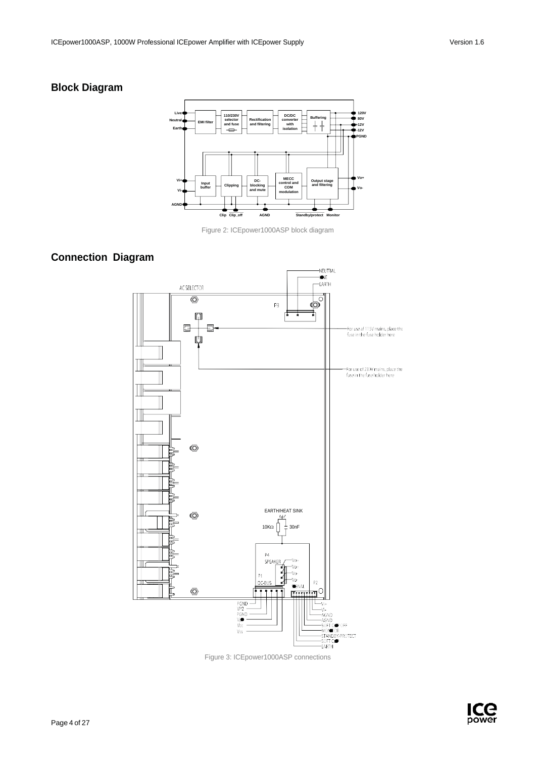# <span id="page-3-0"></span>**Block Diagram**



Figure 2: ICEpower1000ASP block diagram

# <span id="page-3-1"></span>**Connection Diagram**



Figure 3: ICEpower1000ASP connections

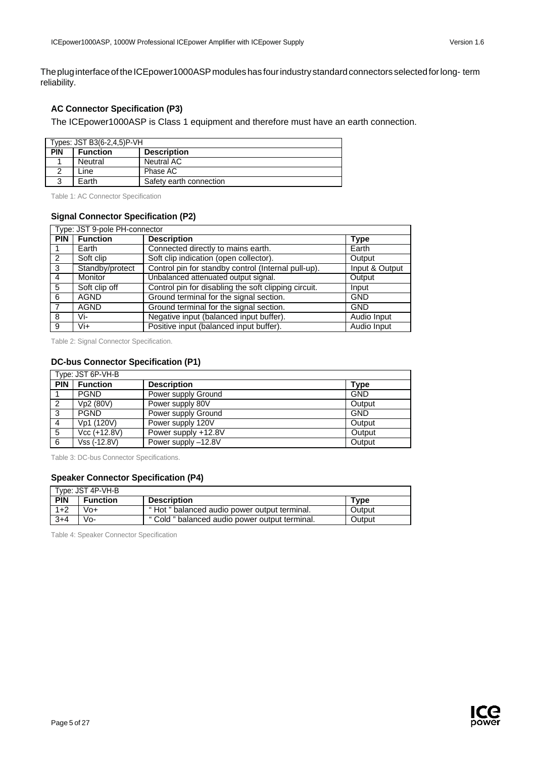The plug interface of the ICEpower1000ASP modules has four industry standard connectors selected for long- term reliability.

## **AC Connector Specification (P3)**

The ICEpower1000ASP is Class 1 equipment and therefore must have an earth connection.

| Types: JST B3(6-2,4,5)P-VH |                 |                         |
|----------------------------|-----------------|-------------------------|
| <b>PIN</b>                 | <b>Function</b> | <b>Description</b>      |
|                            | Neutral         | Neutral AC              |
|                            | Line            | Phase AC                |
|                            | Earth           | Safety earth connection |

Table 1: AC Connector Specification

#### **Signal Connector Specification (P2)**

| Type: JST 9-pole PH-connector |                 |                                                      |                |
|-------------------------------|-----------------|------------------------------------------------------|----------------|
| <b>PIN</b>                    | <b>Function</b> | <b>Description</b>                                   | <b>Type</b>    |
|                               | Earth           | Connected directly to mains earth.                   | Earth          |
| 2                             | Soft clip       | Soft clip indication (open collector).               | Output         |
| 3                             | Standby/protect | Control pin for standby control (Internal pull-up).  | Input & Output |
| $\overline{4}$                | <b>Monitor</b>  | Unbalanced attenuated output signal.                 | Output         |
| 5                             | Soft clip off   | Control pin for disabling the soft clipping circuit. | Input          |
| 6                             | <b>AGND</b>     | Ground terminal for the signal section.              | <b>GND</b>     |
|                               | <b>AGND</b>     | Ground terminal for the signal section.              | <b>GND</b>     |
| 8                             | Vi-             | Negative input (balanced input buffer).              | Audio Input    |
| 9                             | Vi+             | Positive input (balanced input buffer).              | Audio Input    |

Table 2: Signal Connector Specification.

## **DC-bus Connector Specification (P1)**

|            | Type: JST 6P-VH-B |                     |            |
|------------|-------------------|---------------------|------------|
| <b>PIN</b> | <b>Function</b>   | <b>Description</b>  | Type       |
|            | <b>PGND</b>       | Power supply Ground | <b>GND</b> |
| 2          | Vp2 (80V)         | Power supply 80V    | Output     |
| 3          | <b>PGND</b>       | Power supply Ground | <b>GND</b> |
| 4          | Vp1 (120V)        | Power supply 120V   | Output     |
| 5          | Vcc (+12.8V)      | Power supply +12.8V | Output     |
| -6         | Vss (-12.8V)      | Power supply -12.8V | Output     |

Table 3: DC-bus Connector Specifications.

## **Speaker Connector Specification (P4)**

|         | Type: JST 4P-VH-B |                                                |        |
|---------|-------------------|------------------------------------------------|--------|
| PIN     | <b>Function</b>   | <b>Description</b>                             | Tvpe   |
| $1+2$   | Vo+               | "Hot " balanced audio power output terminal.   | Output |
| $3 + 4$ | Vo-               | " Cold " balanced audio power output terminal. | Output |

Table 4: Speaker Connector Specification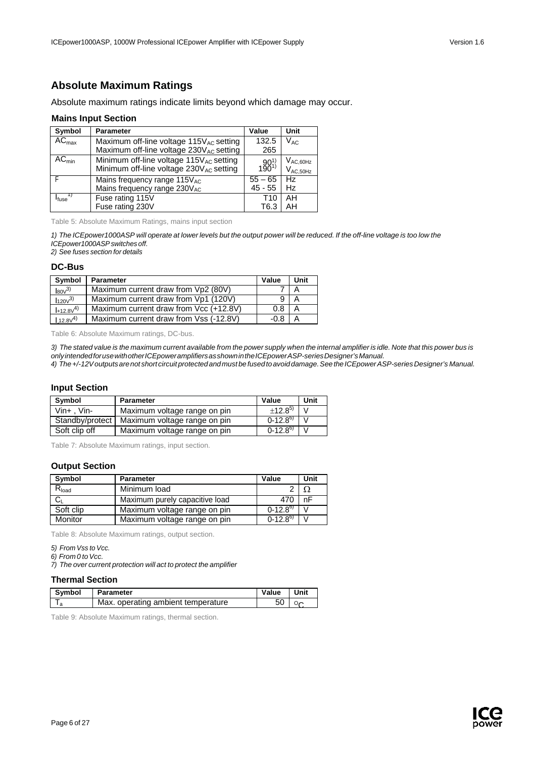# <span id="page-5-0"></span>**Absolute Maximum Ratings**

Absolute maximum ratings indicate limits beyond which damage may occur.

#### **Mains Input Section**

| Symbol            | <b>Parameter</b>                                                                                    | Value        | Unit                           |
|-------------------|-----------------------------------------------------------------------------------------------------|--------------|--------------------------------|
| $AC_{\text{max}}$ | Maximum off-line voltage 115V <sub>AC</sub> setting<br>Maximum off-line voltage $230V_{AC}$ setting | 132.5<br>265 | $\rm V_{AC}$                   |
| $AC_{min}$        | Minimum off-line voltage $115V_{AC}$ setting<br>Minimum off-line voltage 230V <sub>AC</sub> setting | $190^{1}$    | $V_{AC,60Hz}$<br>$V_{AC,50Hz}$ |
|                   | Mains frequency range 115VAC                                                                        | $55 - 65$    | Hz                             |
|                   | Mains frequency range 230VAC                                                                        | $45 - 55$    | Hz                             |
| <sup>I</sup> fuse | Fuse rating 115V                                                                                    | T10          | AH                             |
|                   | Fuse rating 230V                                                                                    | T6.3         | AH                             |

Table 5: Absolute Maximum Ratings, mains input section

1) The ICEpower1000ASP will operate at lower levels but the output power will be reduced. If the off-line voltage is too low the *ICEpower1000ASPswitches off.*

*2) See fuses section for details*

#### **DC-Bus**

| Symbol            | <b>Parameter</b>                       | Value  | Unit |
|-------------------|----------------------------------------|--------|------|
| $\mathsf{IsoV}^3$ | Maximum current draw from Vp2 (80V)    |        |      |
| $120v^{3}$        | Maximum current draw from Vp1 (120V)   |        | A    |
| $+12.8V^{(4)}$    | Maximum current draw from Vcc (+12.8V) | 0.8    | A    |
| $112.8\sqrt{4}$   | Maximum current draw from Vss (-12.8V) | $-0.8$ |      |

Table 6: Absolute Maximum ratings, DC-bus.

3) The stated value is the maximum current available from the power supply when the internal amplifier is idle. Note that this power bus is *onlyintendedforusewithotherICEpoweramplifiersasshownintheICEpowerASP-seriesDesigner'sManual. 4) The+/-12Voutputsarenot short circuitprotectedandmust be fusedtoavoiddamage.SeetheICEpowerASP-seriesDesigner's Manual.*

## **Input Section**

| Symbol            | <b>Parameter</b>             | Value        | Unit |
|-------------------|------------------------------|--------------|------|
| $V$ in+ . $V$ in- | Maximum voltage range on pin | $±12.8^{5}$  |      |
| Standby/protect   | Maximum voltage range on pin | $0-12.8^{6}$ |      |
| Soft clip off     | Maximum voltage range on pin | $0-12.8^{6}$ |      |

Table 7: Absolute Maximum ratings, input section.

### **Output Section**

| Symbol     | <b>Parameter</b>               | Value          | Unit |
|------------|--------------------------------|----------------|------|
| $R_{load}$ | Minimum load                   |                |      |
|            | Maximum purely capacitive load | 470            | nF   |
| Soft clip  | Maximum voltage range on pin   | $(0-12.8^{6})$ |      |
| Monitor    | Maximum voltage range on pin   | $0-12.8^{6}$   |      |

Table 8: Absolute Maximum ratings, output section.

*7) The over current protection will act to protect the amplifier*

#### **Thermal Section**

| Symbol | <b>Parameter</b>                   | Value | Unit |
|--------|------------------------------------|-------|------|
|        | Max. operating ambient temperature |       |      |

Table 9: Absolute Maximum ratings, thermal section.



*<sup>5)</sup> From Vss to Vcc.*

*<sup>6)</sup> From 0 toVcc.*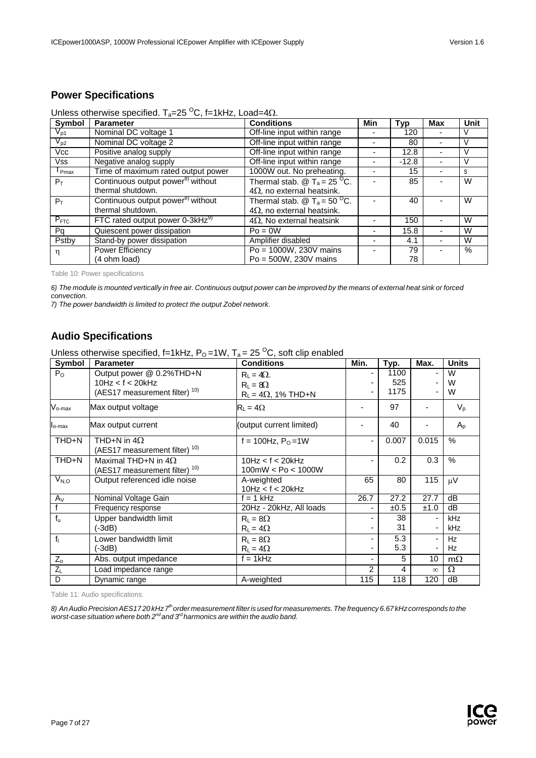# <span id="page-6-0"></span>**Power Specifications**

| Unless otherwise specified. $T_a=25\,^{\circ}\text{C}$ , f=1kHz, Load=4 $\Omega$ . |  |  |
|------------------------------------------------------------------------------------|--|--|
|------------------------------------------------------------------------------------|--|--|

| Symbol     | <b>Parameter</b>                              | <b>Conditions</b>                                                   | Min | Typ     | <b>Max</b> | Unit |
|------------|-----------------------------------------------|---------------------------------------------------------------------|-----|---------|------------|------|
| $V_{p1}$   | Nominal DC voltage 1                          | Off-line input within range                                         |     | 120     |            |      |
| $V_{p2}$   | Nominal DC voltage 2                          | Off-line input within range                                         |     | 80      |            |      |
| Vcc        | Positive analog supply                        | Off-line input within range                                         |     | 12.8    |            |      |
| <b>Vss</b> | Negative analog supply                        | Off-line input within range                                         |     | $-12.8$ |            |      |
| $I_{Pmax}$ | Time of maximum rated output power            | 1000W out. No preheating.                                           |     | 15      |            |      |
| $P_T$      | Continuous output power <sup>8)</sup> without | Thermal stab. $\circledR$ T <sub>a</sub> = 25 <sup>O</sup> C.       |     | 85      |            | W    |
|            | thermal shutdown.                             | $4\Omega$ , no external heatsink.                                   |     |         |            |      |
| $P_T$      | Continuous output power <sup>8)</sup> without | Thermal stab. $\textcircled{2}$ T <sub>a</sub> = 50 <sup>O</sup> C. |     | 40      |            | W    |
|            | thermal shutdown.                             | $4\Omega$ , no external heatsink.                                   |     |         |            |      |
| $P_{FTC}$  | FTC rated output power $0-3kHz^{9}$           | $4\Omega$ , No external heatsink                                    |     | 150     |            | W    |
| Pq         | Quiescent power dissipation                   | $Po = 0W$                                                           |     | 15.8    |            | W    |
| Pstby      | Stand-by power dissipation                    | Amplifier disabled                                                  |     | 4.1     |            | W    |
| η          | Power Efficiency                              | $Po = 1000W$ , 230V mains                                           |     | 79      |            | $\%$ |
|            | (4 ohm load)                                  | $Po = 500W$ , 230V mains                                            |     | 78      |            |      |

Table 10: Power specifications

6) The module is mounted vertically in free air. Continuous output power can be improved by the means of external heat sink or forced *convection.*

*7) The power bandwidth is limited to protect the output Zobel network.*

# <span id="page-6-1"></span>**Audio Specifications**

Unless otherwise specified, f=1kHz,  $P_0$ =1W,  $T_a$  = 25<sup>o</sup>C, soft clip enabled

| Symbol             | <b>Parameter</b>                                                                          | <b>Conditions</b>                                                  | Min.          | Typ.                | Max.     | <b>Units</b> |
|--------------------|-------------------------------------------------------------------------------------------|--------------------------------------------------------------------|---------------|---------------------|----------|--------------|
| $P_{O}$            | Output power @ 0.2%THD+N<br>10Hz < f < 20kHz<br>(AES17 measurement filter) <sup>10)</sup> | $R_1 = 4\Omega$ .<br>$R_L = 8\Omega$<br>$R_L = 4\Omega$ , 1% THD+N |               | 1100<br>525<br>1175 |          | W<br>W<br>W  |
| $V_{o\text{-max}}$ | Max output voltage                                                                        | $R_L = 4\Omega$                                                    |               | 97                  |          | $V_{p}$      |
| lo-max             | Max output current                                                                        | (output current limited)                                           |               | 40                  |          | $A_{p}$      |
| THD+N              | THD+N in $4\Omega$<br>(AES17 measurement filter) <sup>10)</sup>                           | f = 100Hz, $P_0 = 1W$                                              |               | 0.007               | 0.015    | $\%$         |
| THD+N              | Maximal THD+N in $4\Omega$<br>(AES17 measurement filter) <sup>10)</sup>                   | 10Hz < f < 20kHz<br>100mW < Po < 1000W                             |               | 0.2                 | 0.3      | $\%$         |
| $V_{N,O}$          | Output referenced idle noise                                                              | A-weighted<br>10Hz < f < 20kHz                                     | 65            | 80                  | 115      | $\mu V$      |
| $A_V$              | Nominal Voltage Gain                                                                      | $f = 1$ kHz                                                        | 26.7          | 27.2                | 27.7     | dB           |
|                    | Frequency response                                                                        | 20Hz - 20kHz, All loads                                            |               | ±0.5                | ±1.0     | dB           |
| $f_u$              | Upper bandwidth limit<br>(-3dB)                                                           | $R_1 = 8\Omega$<br>$R_L = 4\Omega$                                 |               | 38<br>31            |          | kHz<br>kHz   |
| f <sub>1</sub>     | Lower bandwidth limit<br>(-3dB)                                                           | $R_L = 8\Omega$<br>$R_1 = 4\Omega$                                 | -             | 5.3<br>5.3          | ٠        | Hz<br>Hz     |
| $Z_{\rm o}$        | Abs. output impedance                                                                     | $f = 1$ kHz                                                        |               | 5                   | 10       | $m\Omega$    |
| $Z_L$              | Load impedance range                                                                      |                                                                    | $\mathcal{P}$ | 4                   | $\infty$ | $\Omega$     |
| D                  | Dynamic range                                                                             | A-weighted                                                         | 115           | 118                 | 120      | dB           |

Table 11: Audio specifications.

8) An Audio Precision AES1720 kHz 7<sup>th</sup> order measurement filter is used for measurements. The frequency 6.67 kHz corresponds to the *worst-case situation where both 2nd and 3rd harmonics are within the audio band.*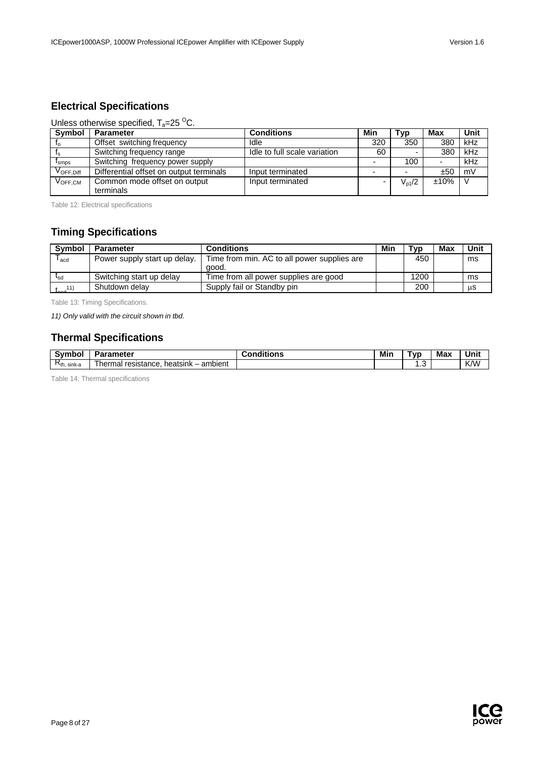# <span id="page-7-0"></span>**Electrical Specifications**

## Unless otherwise specified,  $T_a = 25 \degree C$ .

| Symbol                       | <b>Parameter</b>                          | <b>Conditions</b>            | Min | <b>Typ</b> | Max                      | Unit |
|------------------------------|-------------------------------------------|------------------------------|-----|------------|--------------------------|------|
| Ιo                           | Offset switching frequency                | Idle                         | 320 | 350        | 380                      | kHz  |
|                              | Switching frequency range                 | Idle to full scale variation | 60  |            | 380                      | kHz  |
| $\mathsf{r}_{\mathsf{smos}}$ | Switching frequency power supply          |                              |     | 100        | $\overline{\phantom{0}}$ | kHz  |
| V <sub>OFF.Diff</sub>        | Differential offset on output terminals   | Input terminated             |     |            | ±50                      | mV   |
| $V_{\text{OFF,CM}}$          | Common mode offset on output<br>terminals | Input terminated             |     | $V_{p1}/2$ | ±10%                     |      |

Table 12: Electrical specifications

# <span id="page-7-1"></span>**Timing Specifications**

| <b>Symbol</b>                   | <b>Parameter</b>             | <b>Conditions</b>                           | Min | Tvp  | Max | Unit |
|---------------------------------|------------------------------|---------------------------------------------|-----|------|-----|------|
| acd                             | Power supply start up delay. | Time from min. AC to all power supplies are |     | 450  |     | ms   |
|                                 |                              | aood.                                       |     |      |     |      |
| $I_{sd}$                        | Switching start up delay     | Time from all power supplies are good       |     | 1200 |     | ms   |
| $t_{\text{max}}$ <sup>11)</sup> | Shutdown delay               | Supply fail or Standby pin                  |     | 200  |     | μS   |

Table 13: Timing Specifications.

*11) Only valid with the circuit shown in tbd.*

# <span id="page-7-2"></span>**Thermal Specifications**

| ⊰vmh∩<br>npo     | ırameter                                            | .<br>--<br>.<br>naitions | Min | `vr | <b>Max</b> | Unit |
|------------------|-----------------------------------------------------|--------------------------|-----|-----|------------|------|
| $R_{th.}$ sink-a | ambient<br>⇒rmar …<br>heatsink<br>resistance<br>her |                          |     | . ت |            | K/W  |

Table 14: Thermal specifications

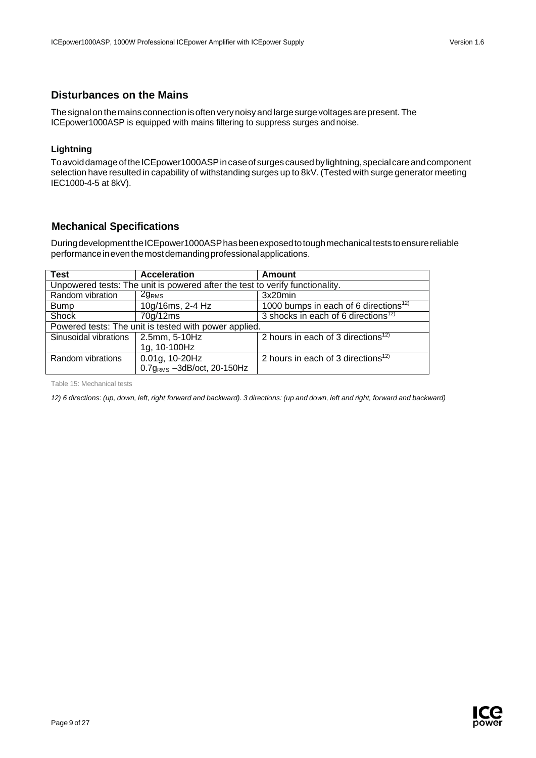## <span id="page-8-0"></span>**Disturbances on the Mains**

The signal on the mains connection is often very noisy and large surge voltages are present. The ICEpower1000ASP is equipped with mains filtering to suppress surges and noise.

## **Lightning**

To avoid damage of the ICEpower1000ASP in case of surges caused by lightning, special care and component selection have resulted in capability of withstanding surges up to 8kV.(Tested with surge generator meeting IEC1000-4-5 at 8kV).

# <span id="page-8-1"></span>**Mechanical Specifications**

DuringdevelopmenttheICEpower1000ASPhasbeenexposedtotoughmechanicalteststoensurereliable performanceineventhemostdemandingprofessionalapplications.

| <b>Test</b>                                                                  | <b>Acceleration</b>                                   | <b>Amount</b>                                     |  |  |  |  |  |
|------------------------------------------------------------------------------|-------------------------------------------------------|---------------------------------------------------|--|--|--|--|--|
| Unpowered tests: The unit is powered after the test to verify functionality. |                                                       |                                                   |  |  |  |  |  |
| Random vibration                                                             | 2g <sub>RMS</sub>                                     | 3x20min                                           |  |  |  |  |  |
| <b>Bump</b>                                                                  | 10g/16ms, 2-4 Hz                                      | 1000 bumps in each of 6 directions <sup>12)</sup> |  |  |  |  |  |
| Shock                                                                        | 70g/12ms                                              | 3 shocks in each of 6 directions <sup>12)</sup>   |  |  |  |  |  |
|                                                                              | Powered tests: The unit is tested with power applied. |                                                   |  |  |  |  |  |
| Sinusoidal vibrations                                                        | 2.5mm, 5-10Hz                                         | 2 hours in each of 3 directions <sup>12)</sup>    |  |  |  |  |  |
|                                                                              | 1g, 10-100Hz                                          |                                                   |  |  |  |  |  |
| Random vibrations                                                            | 0.01g, 10-20Hz                                        | 2 hours in each of 3 directions <sup>12)</sup>    |  |  |  |  |  |
|                                                                              | $0.7gRMS - 3dB/oct$ , 20-150Hz                        |                                                   |  |  |  |  |  |

Table 15: Mechanical tests

12) 6 directions: (up, down, left, right forward and backward). 3 directions: (up and down, left and right, forward and backward)

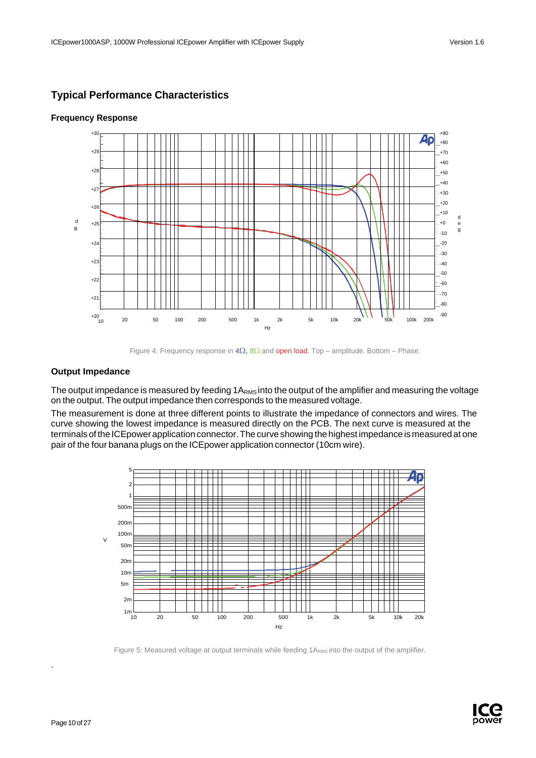d

# <span id="page-9-0"></span>**Typical Performance Characteristics**



## **Frequency Response**

## **Output Impedance**

The output impedance is measured by feeding 1A<sub>RMS</sub> into the output of the amplifier and measuring the voltage on the output. The output impedance then corresponds to the measured voltage.

The measurement is done at three different points to illustrate the impedance of connectors and wires. The curve showing the lowest impedance is measured directly on the PCB. The next curve is measured at the terminals of the ICEpower application connector. The curve showing the highest impedance is measured at one pair of the four banana plugs on the ICEpower application connector (10cm wire).



Figure 5: Measured voltage at output terminals while feeding 1ARMS into the output of the amplifier.



.

Figure 4: Frequency response in  $4\Omega$ ,  $8\Omega$  and **open load**. Top – amplitude. Bottom – Phase.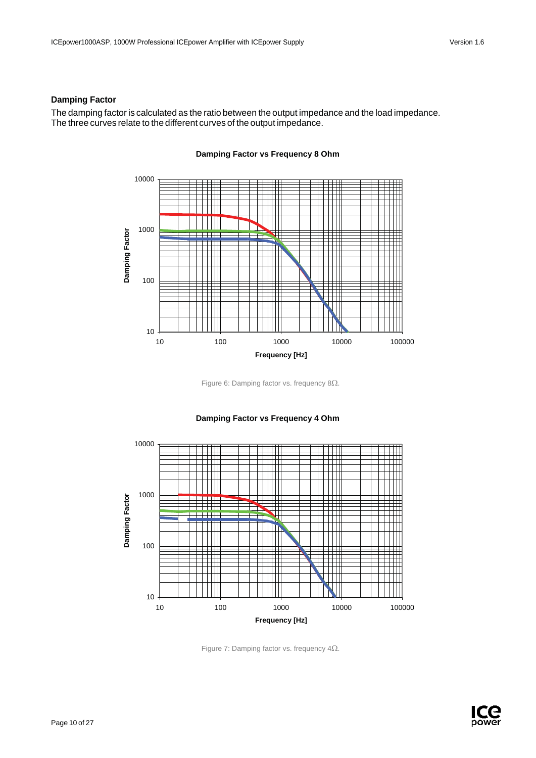## **Damping Factor**

The damping factor is calculated as the ratio between the output impedance and the load impedance. The three curves relate to the different curves of the output impedance.



## **Damping Factor vs Frequency 8 Ohm**

Figure 6: Damping factor vs. frequency 8Ω.



# **Damping Factor vs Frequency 4 Ohm**

Figure 7: Damping factor vs. frequency 4Ω.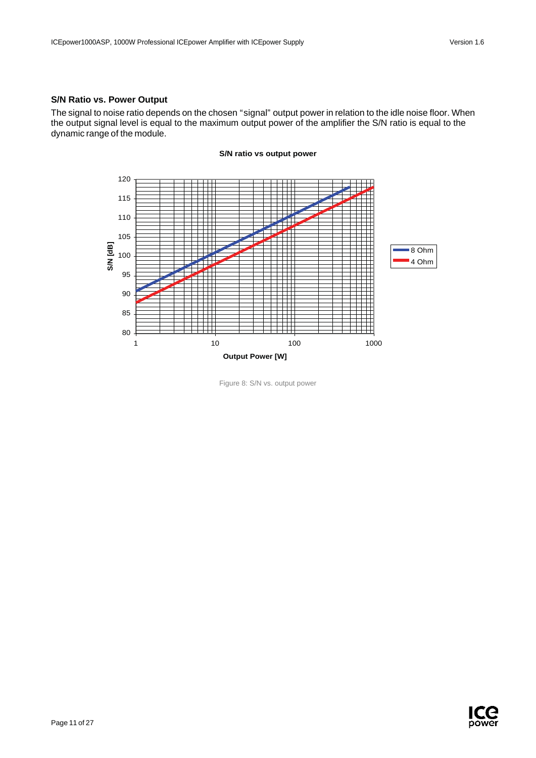## **S/N Ratio vs. Power Output**

The signal to noise ratio depends on the chosen "signal" output power in relation to the idle noise floor. When the output signal level is equal to the maximum output power of the amplifier the S/N ratio is equal to the dynamic range of the module.



#### **S/N ratio vs output power**

Figure 8: S/N vs. output power

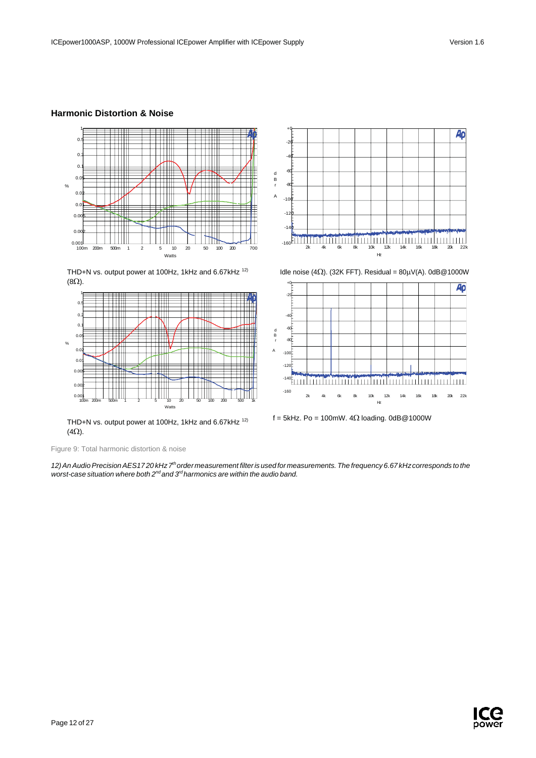## **Harmonic Distortion & Noise**



THD+N vs. output power at 100Hz, 1kHz and 6.67kHz<sup>12)</sup> (8Ω).



THD+N vs. output power at 100Hz, 1kHz and 6.67kHz 12)  $(4\Omega).$ 

Figure 9: Total harmonic distortion & noise

*12)AnAudioPrecisionAES17 20 kHz7thorder measurement filterisused for measurements.The frequency 6.67 kHzcorresponds to the worst-case situation where both 2nd and 3rd harmonics are within the audio band.*



Idle noise (4 $\Omega$ ). (32K FFT). Residual = 80 $\mu$ V(A). 0dB@1000W



f = 5kHz. Po = 100mW.  $4\Omega$  loading. 0dB@1000W

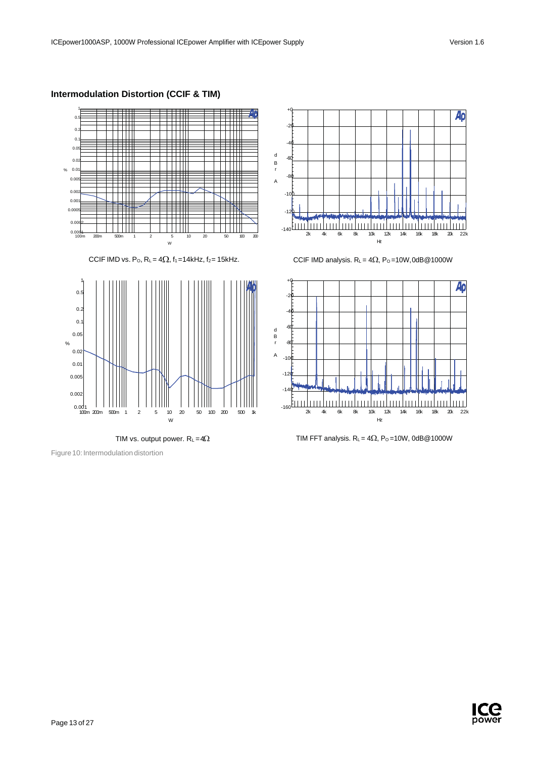# **Intermodulation Distortion (CCIF & TIM)**





Figure 10: Intermodulation distortion



CCIF IMD vs. Po, R<sub>L</sub> = 4 $\Omega$ , f<sub>1</sub> = 14kHz, f<sub>2</sub> = 15kHz. CCIF IMD analysis. R<sub>L</sub> = 4 $\Omega$ , P<sub>0</sub> = 10W,0dB@1000W





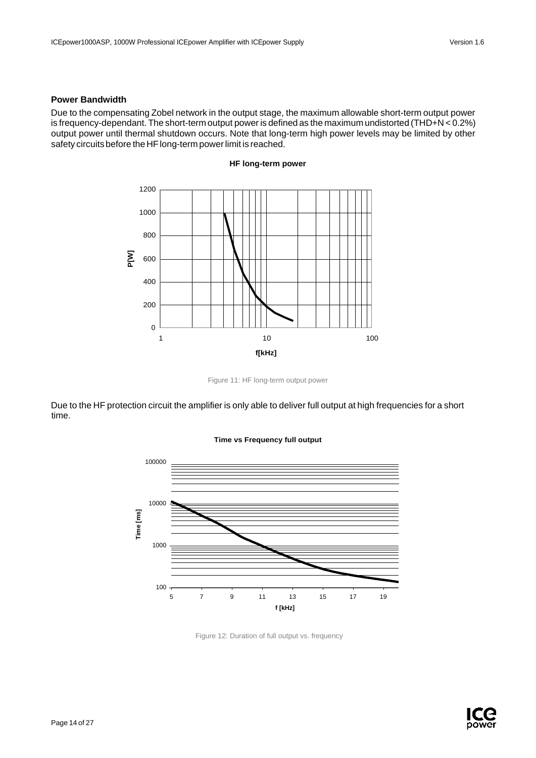### **Power Bandwidth**

Due to the compensating Zobel network in the output stage, the maximum allowable short-term output power is frequency-dependant. The short-term output poweris defined as the maximum undistorted (THD+N < 0.2%) output power until thermal shutdown occurs. Note that long-term high power levels may be limited by other safety circuits before the HF long-term power limit is reached.



**HF long-term power**

Figure 11: HF long-term output power

Due to the HF protection circuit the amplifier is only able to deliver full output at high frequencies for a short time.



#### **Time vs Frequency full output**

Figure 12: Duration of full output vs. frequency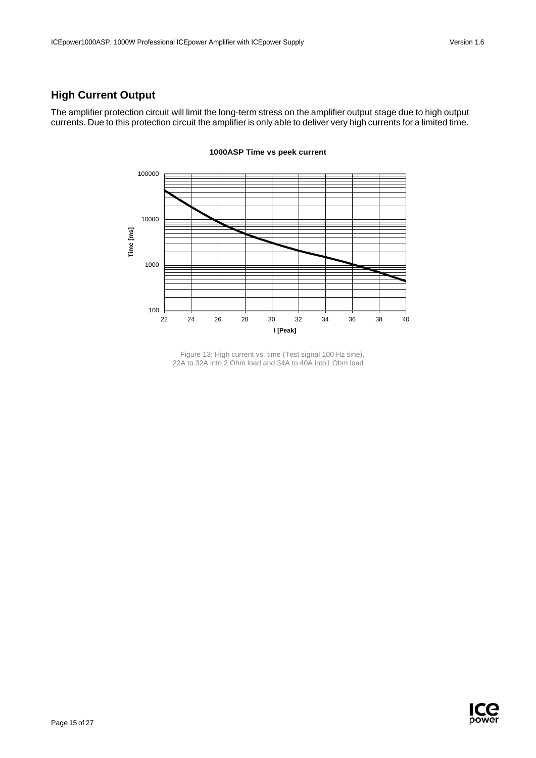# <span id="page-15-0"></span>**High Current Output**

The amplifier protection circuit will limit the long-term stress on the amplifier output stage due to high output currents. Due to this protection circuit the amplifier is only able to deliver very high currents for a limited time.



#### **1000ASP Time vs peek current**

Figure 13: High current vs. time (Test signal 100 Hz sine). 22A to 32A into 2 Ohm load and 34A to 40A into1 Ohm load

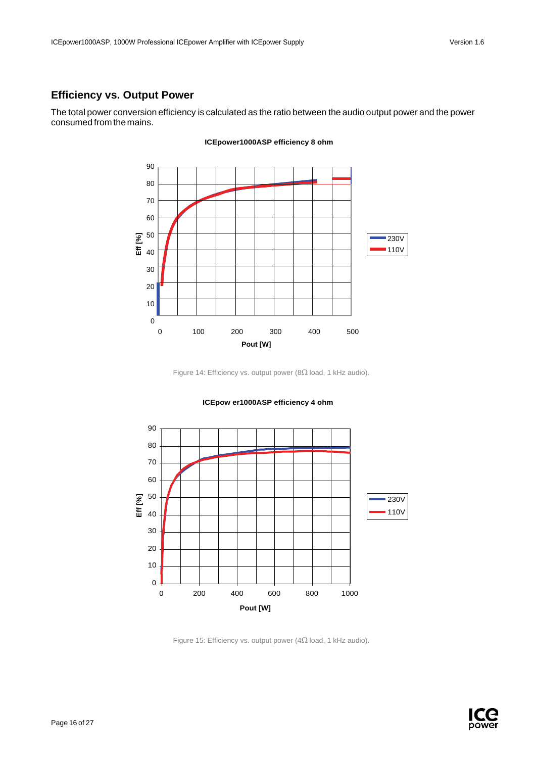# <span id="page-16-0"></span>**Efficiency vs. Output Power**

The total power conversion efficiency is calculated as the ratio between the audio output power and the power consumed from the mains.



#### **ICEpower1000ASP efficiency 8 ohm**

Figure 14: Efficiency vs. output power (8Ω load, 1 kHz audio).



**ICEpow er1000ASP efficiency 4 ohm**

Figure 15: Efficiency vs. output power (4Ω load, 1 kHz audio).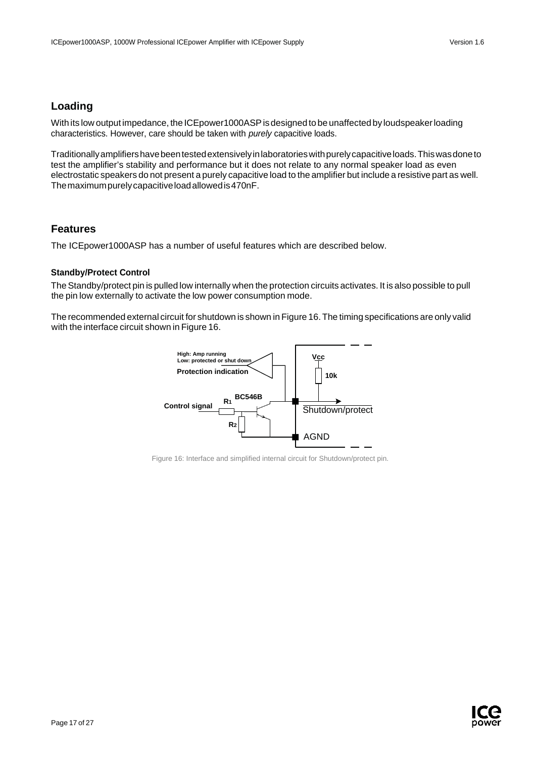# <span id="page-17-0"></span>**Loading**

With its low output impedance, the ICEpower1000ASP is designed to be unaffected by loudspeaker loading characteristics. However, care should be taken with *purely* capacitive loads.

Traditionallyamplifiershavebeentestedextensivelyinlaboratorieswithpurelycapacitiveloads.Thiswasdoneto test the amplifier's stability and performance but it does not relate to any normal speaker load as even electrostatic speakers do not present a purely capacitive load to the amplifier but include a resistive part as well. Themaximumpurelycapacitiveloadallowedis470nF.

# <span id="page-17-1"></span>**Features**

The ICEpower1000ASP has a number of useful features which are described below.

### **Standby/Protect Control**

The Standby/protect pin is pulled low internally when the protection circuits activates. It is also possible to pull the pin low externally to activate the low power consumption mode.

The recommended external circuit for shutdown is shown in Figure 16.The timing specifications are only valid with the interface circuit shown in Figure 16.



Figure 16: Interface and simplified internal circuit for Shutdown/protect pin.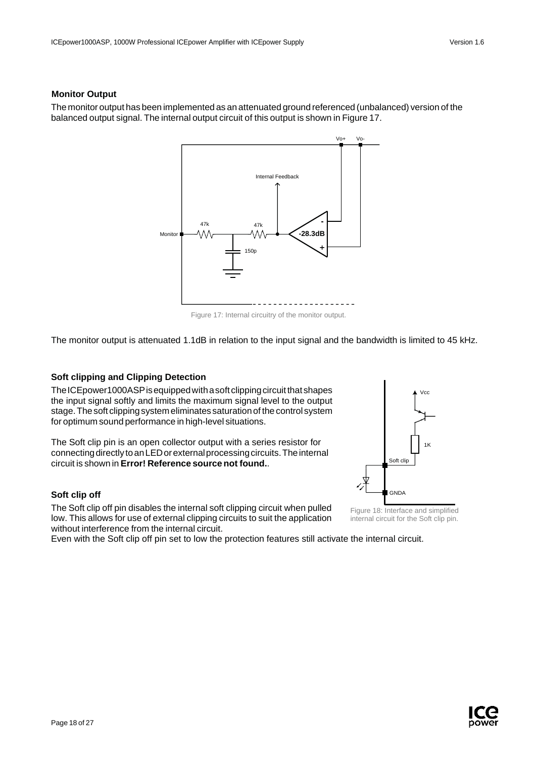## **Monitor Output**

The monitor output has been implemented as an attenuated ground referenced (unbalanced) version of the balanced output signal. The internal output circuit of this output is shown in Figure 17.



Figure 17: Internal circuitry of the monitor output.

The monitor output is attenuated 1.1dB in relation to the input signal and the bandwidth is limited to 45 kHz.

### **Soft clipping and Clipping Detection**

The ICE power1000ASP is equipped with a soft clipping circuit that shapes the input signal softly and limits the maximum signal level to the output stage. The soft clipping system eliminates saturation of the control system for optimum sound performance in high-level situations.

The Soft clip pin is an open collector output with a series resistor for connecting directly to an LED or external processing circuits. The internal circuit is shown in **Error! Reference source not found.**.

### **Soft clip off**

The Soft clip off pin disables the internal soft clipping circuit when pulled low. This allows for use of external clipping circuits to suit the application without interference from the internal circuit.

Even with the Soft clip off pin set to low the protection features still activate the internal circuit.



Figure 18: Interface and simplified internal circuit for the Soft clip pin.

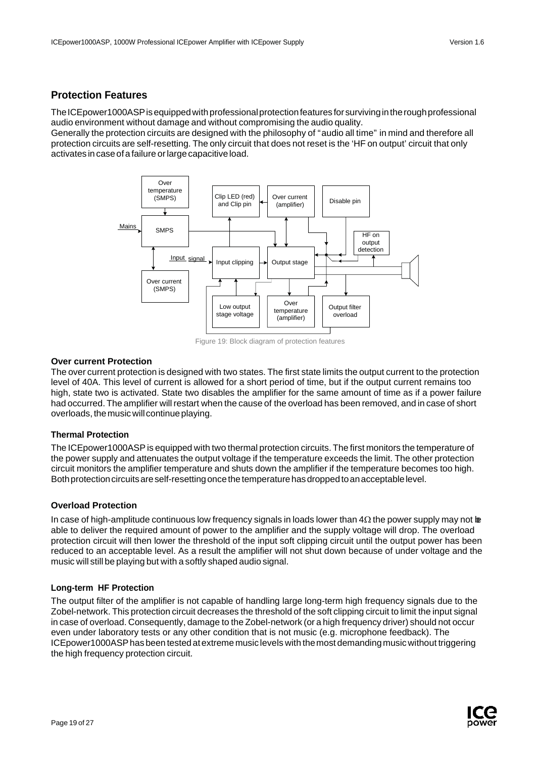# <span id="page-19-0"></span>**Protection Features**

The ICEpower1000ASP is equipped with professional protection features for surviving in the rough professional audio environment without damage and without compromising the audio quality.

Generally the protection circuits are designed with the philosophy of "audio all time" in mind and therefore all protection circuits are self-resetting. The only circuit that does not reset is the 'HF on output' circuit that only activates incaseofa failure orlargecapacitiveload.



Figure 19: Block diagram of protection features

### **Over current Protection**

The over current protection is designed with two states. The first state limits the output current to the protection level of 40A. This level of current is allowed for a short period of time, but if the output current remains too high, state two is activated. State two disables the amplifier for the same amount of time as if a power failure had occurred. The amplifier will restart when the cause of the overload has been removed, and in case of short overloads, the music will continue playing.

### **Thermal Protection**

The ICEpower1000ASPis equipped with two thermal protection circuits. The first monitors the temperature of the power supply and attenuates the output voltage if the temperature exceeds the limit. The other protection circuit monitors the amplifier temperature and shuts down the amplifier if the temperature becomes too high. Both protection circuits are self-resetting once the temperature has dropped to an acceptable level.

### **Overload Protection**

In case of high-amplitude continuous low frequency signals in loads lower than  $4\Omega$  the power supply may not be able to deliver the required amount of power to the amplifier and the supply voltage will drop. The overload protection circuit will then lower the threshold of the input soft clipping circuit until the output power has been reduced to an acceptable level. As a result the amplifier will not shut down because of under voltage and the music will still be playing but with a softly shaped audio signal.

### **Long-term HF Protection**

The output filter of the amplifier is not capable of handling large long-term high frequency signals due to the Zobel-network. This protection circuit decreases the threshold of the soft clipping circuit to limit the input signal in case of overload. Consequently, damage to the Zobel-network (or a high frequency driver) should not occur even under laboratory tests or any other condition that is not music (e.g. microphone feedback). The ICE power 1000ASP has been tested at extreme music levels with the most demanding music without triggering the high frequency protection circuit.

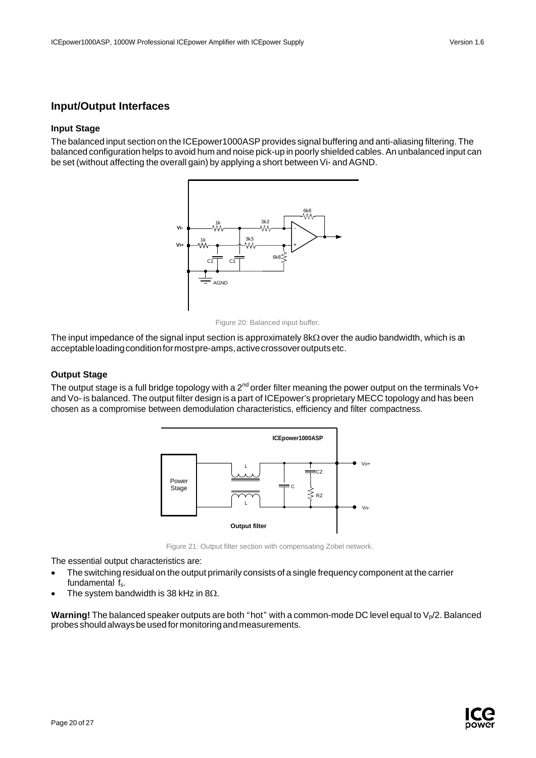# <span id="page-20-0"></span>**Input/Output Interfaces**

#### **Input Stage**

The balanced input section on the ICEpower1000ASP provides signal buffering and anti-aliasing filtering. The balanced configuration helps to avoid hum and noise pick-up in poorly shielded cables. An unbalanced input can be set (without affecting the overall gain) by applying a short between Vi- and AGND.



Figure 20: Balanced input buffer.

The input impedance of the signal input section is approximately 8kΩ over the audio bandwidth, which is an acceptable loading condition for most pre-amps, active crossover outputs etc.

#### **Output Stage**

The output stage is a full bridge topology with a 2<sup>nd</sup> order filter meaning the power output on the terminals Vo+ and Vo- is balanced. The output filter design is a part of ICEpower's proprietary MECC topology and has been chosen as a compromise between demodulation characteristics, efficiency and filter compactness.



Figure 21: Output filter section with compensating Zobel network.

The essential output characteristics are:

- The switching residual on the output primarily consists of a single frequency component at the carrier fundamental f<sub>s</sub>.
- The system bandwidth is 38 kHz in 8 $\Omega$ .

**Warning!** The balanced speaker outputs are both "hot" with a common-mode DC level equal to  $V_p/2$ . Balanced probesshouldalwaysbeusedformonitoringandmeasurements.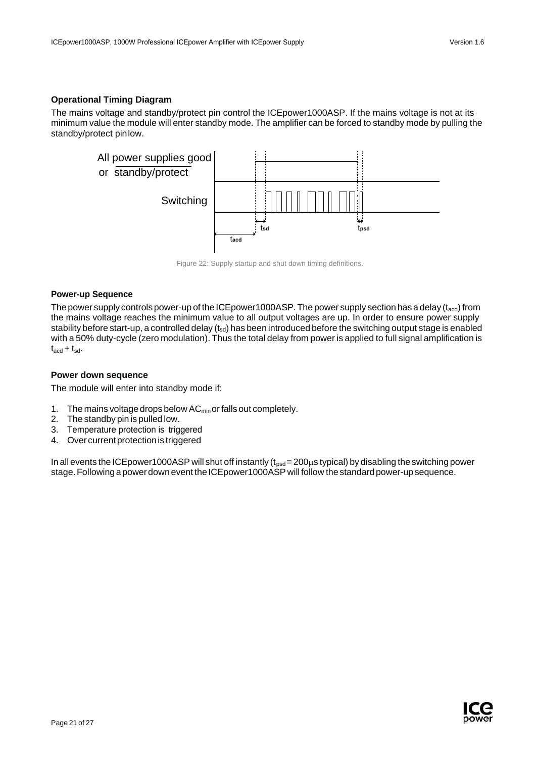## **Operational Timing Diagram**

The mains voltage and standby/protect pin control the ICEpower1000ASP. If the mains voltage is not at its minimum value the module will enter standby mode. The amplifier can be forced to standby mode by pulling the standby/protect pinlow.



Figure 22: Supply startup and shut down timing definitions.

#### **Power-up Sequence**

The power supply controls power-up of the ICEpower1000ASP. The power supply section has a delay ( $t_{\text{acd}}$ ) from the mains voltage reaches the minimum value to all output voltages are up. In order to ensure power supply stability before start-up, a controlled delay  $(t_{sd})$  has been introduced before the switching output stage is enabled with a 50% duty-cycle (zero modulation). Thus the total delay from power is applied to full signal amplification is  $t_{\text{acd}} + t_{\text{sd}}$ .

### **Power down sequence**

The module will enter into standby mode if:

- 1. The mains voltage drops below  $AC<sub>min</sub>$  or falls out completely.
- 2. The standby pin is pulled low.
- 3. Temperature protection is triggered
- 4. Over currentprotectionis triggered

In all events the ICE power 1000ASP will shut off instantly  $(t_{psd}=200\mu s$  typical) by disabling the switching power stage. Following a power down event the ICE power 1000ASP will follow the standard power-up sequence.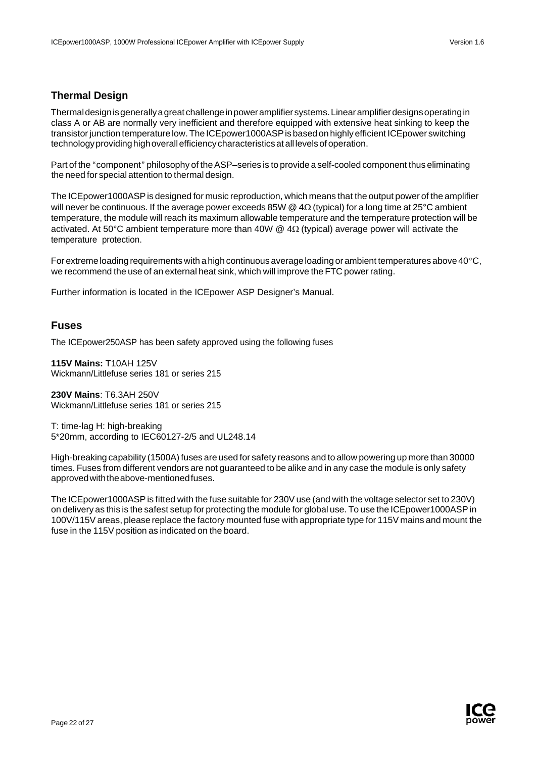# <span id="page-22-0"></span>**Thermal Design**

Thermaldesignisgenerallyagreat challengeinpoweramplifiersystems.Linearamplifierdesignsoperatingin class A or AB are normally very inefficient and therefore equipped with extensive heat sinking to keep the transistorjunction temperature low.The ICEpower1000ASPis based on highly efficient ICEpower switching technology providing high overall efficiency characteristics at all levels of operation.

Part of the "component" philosophy of the ASP–series is to provide a self-cooled component thus eliminating the need for special attention to thermal design.

The ICEpower1000ASP is designed for music reproduction, which means that the output power of the amplifier will never be continuous. If the average power exceeds 85W  $\omega$  4Ω (typical) for a long time at 25°C ambient temperature, the module will reach its maximum allowable temperature and the temperature protection will be activated. At 50 $\degree$ C ambient temperature more than 40W @ 4 $\Omega$  (typical) average power will activate the temperature protection.

For extreme loading requirements with a high continuous average loading or ambient temperatures above 40°C, we recommend the use of an external heat sink, which will improve the FTC power rating.

Further information is located in the ICEpower ASP Designer's Manual.

# <span id="page-22-1"></span>**Fuses**

The ICEpower250ASP has been safety approved using the following fuses

**115V Mains:** T10AH 125V Wickmann/Littlefuse series 181 or series 215

**230V Mains**: T6.3AH 250V Wickmann/Littlefuse series 181 or series 215

T: time-lag H: high-breaking 5\*20mm, according to IEC60127-2/5 and UL248.14

High-breaking capability (1500A) fuses are used for safety reasons and to allow powering up more than 30000 times. Fuses from different vendors are not guaranteed to be alike and in any case the module is only safety approvedwiththeabove-mentionedfuses.

The ICEpower1000ASP is fitted with the fuse suitable for 230V use (and with the voltage selector set to 230V) on delivery as this is the safest setup for protecting the module for global use. To use the ICEpower1000ASPin 100V/115Vareas, please replace the factory mounted fuse with appropriate type for 115V mains and mount the fuse in the 115V position as indicated on the board.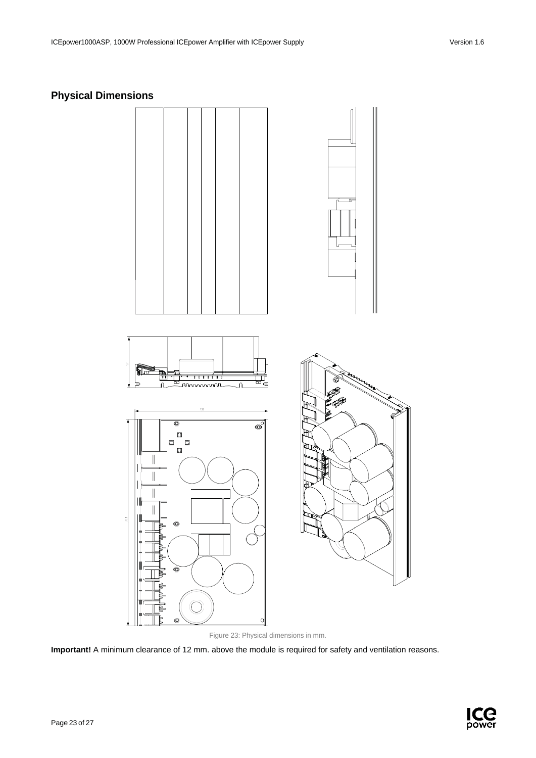# <span id="page-23-0"></span>**Physical Dimensions**



Figure 23: Physical dimensions in mm.

**Important!** A minimum clearance of 12 mm. above the module is required for safety and ventilation reasons.

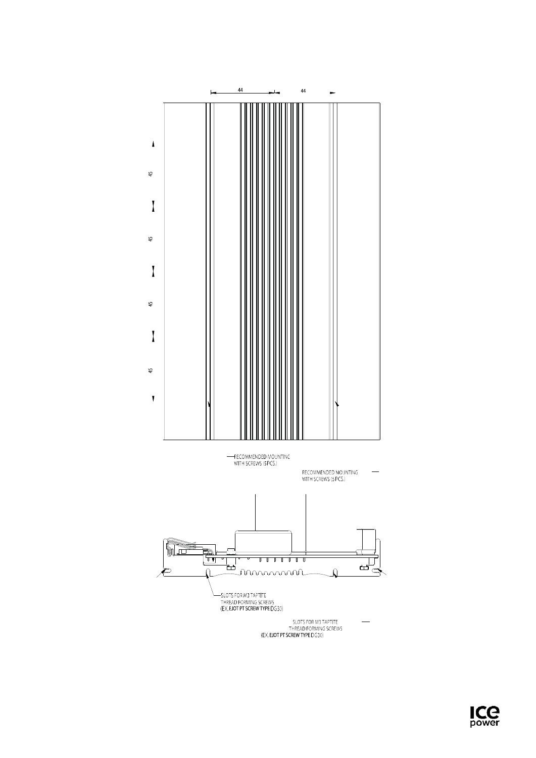

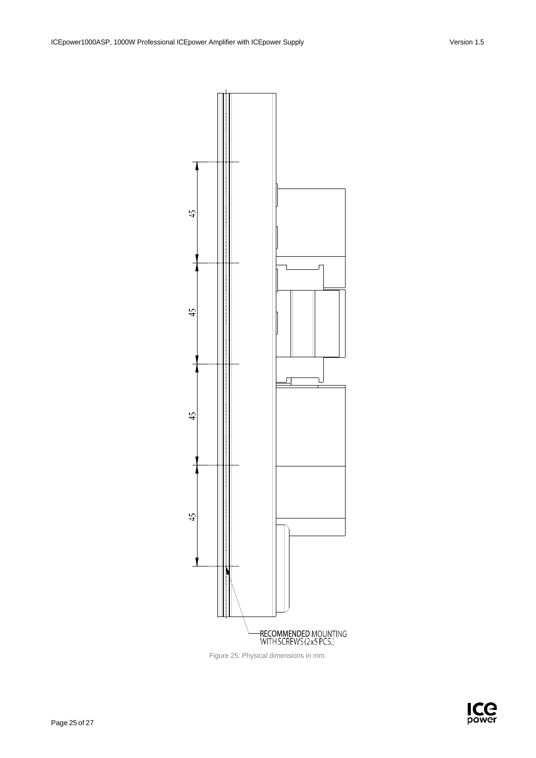

Figure 25: Physical dimensions in mm.

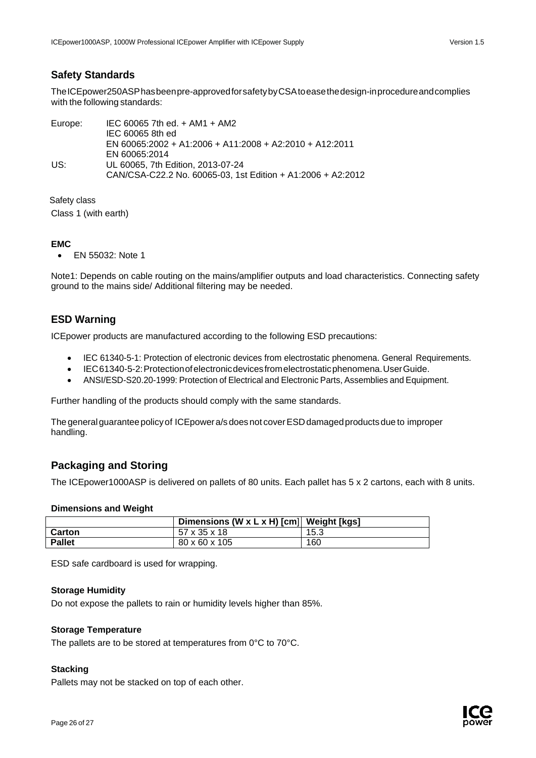## <span id="page-26-0"></span>**Safety Standards**

TheICEpower250ASPhasbeenpre-approvedforsafetybyCSAtoeasethedesign-inprocedureandcomplies with the following standards:

Europe: IEC 60065 7th ed. + AM1 + AM2 IEC 60065 8th ed EN 60065:2002 + A1:2006 + A11:2008 + A2:2010 + A12:2011 EN 60065:2014 US: UL 60065, 7th Edition, 2013-07-24 CAN/CSA-C22.2 No. 60065-03, 1st Edition + A1:2006 + A2:2012

Safety class Class 1 (with earth)

## **EMC**

• EN 55032: Note 1

Note1: Depends on cable routing on the mains/amplifier outputs and load characteristics. Connecting safety ground to the mains side/ Additional filtering may be needed.

# <span id="page-26-1"></span>**ESD Warning**

ICEpower products are manufactured according to the following ESD precautions:

- IEC 61340-5-1: Protection of electronic devices from electrostatic phenomena. General Requirements.
- IEC61340-5-2:Protectionofelectronicdevicesfromelectrostaticphenomena.UserGuide.
- ANSI/ESD-S20.20-1999: Protection of Electrical and Electronic Parts, Assemblies and Equipment.

Further handling of the products should comply with the same standards.

Thegeneralguaranteepolicyof ICEpowera/sdoesnot coverESDdamagedproductsdue to improper handling.

# <span id="page-26-2"></span>**Packaging and Storing**

The ICEpower1000ASP is delivered on pallets of 80 units. Each pallet has 5 x 2 cartons, each with 8 units.

### **Dimensions and Weight**

|               | Dimensions (W x L x H) [cm] Weight [kgs] |      |
|---------------|------------------------------------------|------|
| <b>Carton</b> | 57 x 35 x 18                             | 15.3 |
| <b>Pallet</b> | 80 x 60 x 105                            | 160  |

ESD safe cardboard is used for wrapping.

### **Storage Humidity**

Do not expose the pallets to rain or humidity levels higher than 85%.

### **Storage Temperature**

The pallets are to be stored at temperatures from 0°C to 70°C.

### **Stacking**

Pallets may not be stacked on top of each other.